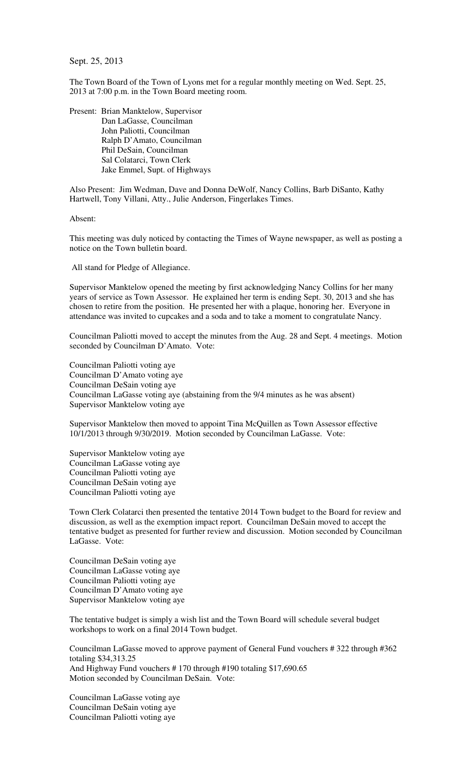Sept. 25, 2013

The Town Board of the Town of Lyons met for a regular monthly meeting on Wed. Sept. 25, 2013 at 7:00 p.m. in the Town Board meeting room.

Present: Brian Manktelow, Supervisor Dan LaGasse, Councilman John Paliotti, Councilman Ralph D'Amato, Councilman Phil DeSain, Councilman Sal Colatarci, Town Clerk Jake Emmel, Supt. of Highways

Also Present: Jim Wedman, Dave and Donna DeWolf, Nancy Collins, Barb DiSanto, Kathy Hartwell, Tony Villani, Atty., Julie Anderson, Fingerlakes Times.

Absent:

This meeting was duly noticed by contacting the Times of Wayne newspaper, as well as posting a notice on the Town bulletin board.

All stand for Pledge of Allegiance.

Supervisor Manktelow opened the meeting by first acknowledging Nancy Collins for her many years of service as Town Assessor. He explained her term is ending Sept. 30, 2013 and she has chosen to retire from the position. He presented her with a plaque, honoring her. Everyone in attendance was invited to cupcakes and a soda and to take a moment to congratulate Nancy.

Councilman Paliotti moved to accept the minutes from the Aug. 28 and Sept. 4 meetings. Motion seconded by Councilman D'Amato. Vote:

Councilman Paliotti voting aye Councilman D'Amato voting aye Councilman DeSain voting aye Councilman LaGasse voting aye (abstaining from the 9/4 minutes as he was absent) Supervisor Manktelow voting aye

Supervisor Manktelow then moved to appoint Tina McQuillen as Town Assessor effective 10/1/2013 through 9/30/2019. Motion seconded by Councilman LaGasse. Vote:

Supervisor Manktelow voting aye Councilman LaGasse voting aye Councilman Paliotti voting aye Councilman DeSain voting aye Councilman Paliotti voting aye

Town Clerk Colatarci then presented the tentative 2014 Town budget to the Board for review and discussion, as well as the exemption impact report. Councilman DeSain moved to accept the tentative budget as presented for further review and discussion. Motion seconded by Councilman LaGasse. Vote:

Councilman DeSain voting aye Councilman LaGasse voting aye Councilman Paliotti voting aye Councilman D'Amato voting aye Supervisor Manktelow voting aye

The tentative budget is simply a wish list and the Town Board will schedule several budget workshops to work on a final 2014 Town budget.

Councilman LaGasse moved to approve payment of General Fund vouchers # 322 through #362 totaling \$34,313.25 And Highway Fund vouchers # 170 through #190 totaling \$17,690.65 Motion seconded by Councilman DeSain. Vote:

Councilman LaGasse voting aye Councilman DeSain voting aye Councilman Paliotti voting aye